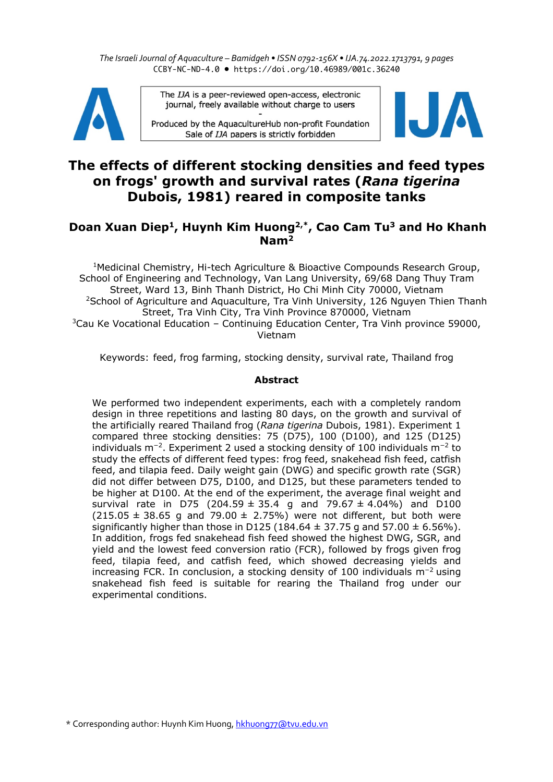*The Israeli Journal of Aquaculture – Bamidgeh • ISSN 0792-156X • IJA.74.2022.1713791, 9 pages* CCBY-NC-ND-4.0 • https://doi.org/10.46989/001c.36240



The IJA is a peer-reviewed open-access, electronic journal, freely available without charge to users

Produced by the AquacultureHub non-profit Foundation Sale of IJA papers is strictly forbidden



# **The effects of different stocking densities and feed types on frogs' growth and survival rates (***Rana tigerina*  **Dubois, 1981) reared in composite tanks**

## **Doan Xuan Diep1, Huynh Kim Huong2,\*, Cao Cam Tu3 and Ho Khanh Nam2**

1Medicinal Chemistry, Hi-tech Agriculture & Bioactive Compounds Research Group, School of Engineering and Technology, Van Lang University, 69/68 Dang Thuy Tram Street, Ward 13, Binh Thanh District, Ho Chi Minh City 70000, Vietnam <sup>2</sup>School of Agriculture and Aquaculture, Tra Vinh University, 126 Nguyen Thien Thanh Street, Tra Vinh City, Tra Vinh Province 870000, Vietnam  $3$ Cau Ke Vocational Education – Continuing Education Center, Tra Vinh province 59000, Vietnam

Keywords: feed, frog farming, stocking density, survival rate, Thailand frog

## **Abstract**

We performed two independent experiments, each with a completely random design in three repetitions and lasting 80 days, on the growth and survival of the artificially reared Thailand frog (*Rana tigerina* Dubois, 1981). Experiment 1 compared three stocking densities: 75 (D75), 100 (D100), and 125 (D125) individuals m<sup>−</sup>2. Experiment 2 used a stocking density of 100 individuals m−<sup>2</sup> to study the effects of different feed types: frog feed, snakehead fish feed, catfish feed, and tilapia feed. Daily weight gain (DWG) and specific growth rate (SGR) did not differ between D75, D100, and D125, but these parameters tended to be higher at D100. At the end of the experiment, the average final weight and survival rate in D75 (204.59  $\pm$  35.4 g and 79.67  $\pm$  4.04%) and D100  $(215.05 \pm 38.65 \text{ g}$  and 79.00  $\pm$  2.75%) were not different, but both were significantly higher than those in D125 (184.64  $\pm$  37.75 g and 57.00  $\pm$  6.56%). In addition, frogs fed snakehead fish feed showed the highest DWG, SGR, and yield and the lowest feed conversion ratio (FCR), followed by frogs given frog feed, tilapia feed, and catfish feed, which showed decreasing yields and increasing FCR. In conclusion, a stocking density of 100 individuals m<sup>−</sup>2 using snakehead fish feed is suitable for rearing the Thailand frog under our experimental conditions.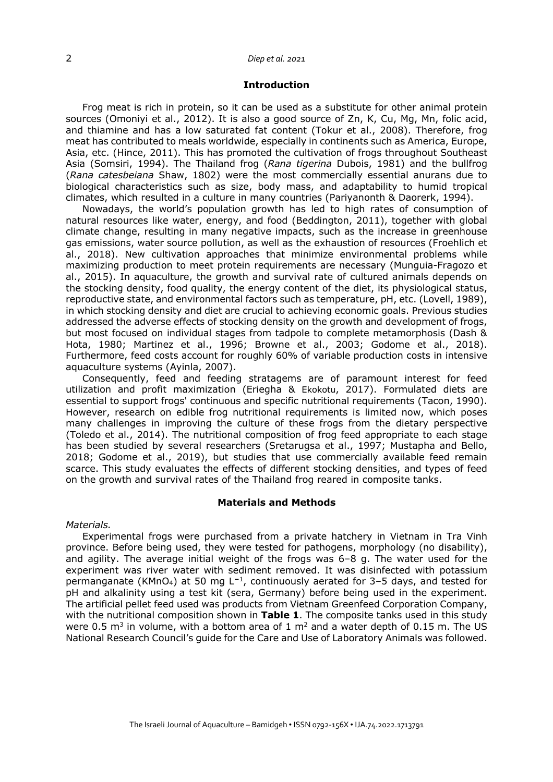## 2 *Diep et al. 2021*

## **Introduction**

Frog meat is rich in protein, so it can be used as a substitute for other animal protein sources (Omoniyi et al., 2012). It is also a good source of Zn, K, Cu, Mg, Mn, folic acid, and thiamine and has a low saturated fat content (Tokur et al., 2008). Therefore, frog meat has contributed to meals worldwide, especially in continents such as America, Europe, Asia, etc. (Hince, 2011). This has promoted the cultivation of frogs throughout Southeast Asia (Somsiri, 1994). The Thailand frog (*Rana tigerina* Dubois, 1981) and the bullfrog (*Rana catesbeiana* Shaw, 1802) were the most commercially essential anurans due to biological characteristics such as size, body mass, and adaptability to humid tropical climates, which resulted in a culture in many countries (Pariyanonth & Daorerk, 1994).

Nowadays, the world's population growth has led to high rates of consumption of natural resources like water, energy, and food (Beddington, 2011), together with global climate change, resulting in many negative impacts, such as the increase in greenhouse gas emissions, water source pollution, as well as the exhaustion of resources (Froehlich et al., 2018). New cultivation approaches that minimize environmental problems while maximizing production to meet protein requirements are necessary (Munguia-Fragozo et al., 2015). In aquaculture, the growth and survival rate of cultured animals depends on the stocking density, food quality, the energy content of the diet, its physiological status, reproductive state, and environmental factors such as temperature, pH, etc. (Lovell, 1989), in which stocking density and diet are crucial to achieving economic goals. Previous studies addressed the adverse effects of stocking density on the growth and development of frogs, but most focused on individual stages from tadpole to complete metamorphosis (Dash & Hota, 1980; Martinez et al., 1996; Browne et al., 2003; Godome et al., 2018). Furthermore, feed costs account for roughly 60% of variable production costs in intensive aquaculture systems (Ayinla, 2007).

Consequently, feed and feeding stratagems are of paramount interest for feed utilization and profit maximization (Eriegha & Ekokotu, 2017). Formulated diets are essential to support frogs' continuous and specific nutritional requirements (Tacon, 1990). However, research on edible frog nutritional requirements is limited now, which poses many challenges in improving the culture of these frogs from the dietary perspective (Toledo et al., 2014). The nutritional composition of frog feed appropriate to each stage has been studied by several researchers (Sretarugsa et al., 1997; Mustapha and Bello, 2018; Godome et al., 2019), but studies that use commercially available feed remain scarce. This study evaluates the effects of different stocking densities, and types of feed on the growth and survival rates of the Thailand frog reared in composite tanks.

## **Materials and Methods**

## *Materials.*

Experimental frogs were purchased from a private hatchery in Vietnam in Tra Vinh province. Before being used, they were tested for pathogens, morphology (no disability), and agility. The average initial weight of the frogs was 6–8 g. The water used for the experiment was river water with sediment removed. It was disinfected with potassium permanganate (KMnO4) at 50 mg L**<sup>−</sup>**1, continuously aerated for 3–5 days, and tested for pH and alkalinity using a test kit (sera, Germany) before being used in the experiment. The artificial pellet feed used was products from Vietnam Greenfeed Corporation Company, with the nutritional composition shown in **Table 1**. The composite tanks used in this study were 0.5  $\text{m}^3$  in volume, with a bottom area of 1  $\text{m}^2$  and a water depth of 0.15 m. The US National Research Council's guide for the Care and Use of Laboratory Animals was followed.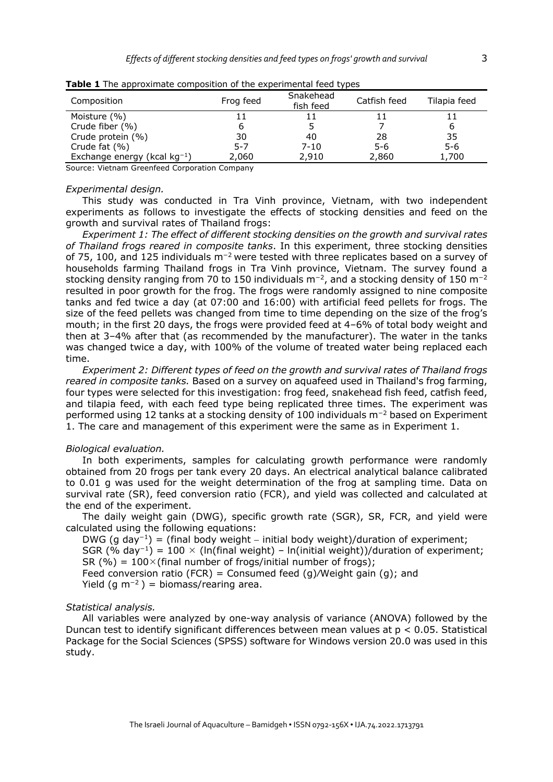| Composition                       | Frog feed | Snakehead<br>fish feed | Catfish feed | Tilapia feed |
|-----------------------------------|-----------|------------------------|--------------|--------------|
| Moisture (%)                      |           |                        |              |              |
| Crude fiber (%)                   |           |                        |              | ь            |
| Crude protein (%)                 | 30        | 40                     | 28           | 35           |
| Crude fat (%)                     | $5 - 7$   | $7 - 10$               | $5 - 6$      | $5 - 6$      |
| Exchange energy (kcal $kg^{-1}$ ) | 2,060     | 2,910                  | 2,860        | 1,700        |

| Table 1 The approximate composition of the experimental feed types |
|--------------------------------------------------------------------|
|--------------------------------------------------------------------|

Source: Vietnam Greenfeed Corporation Company

#### *Experimental design.*

This study was conducted in Tra Vinh province, Vietnam, with two independent experiments as follows to investigate the effects of stocking densities and feed on the growth and survival rates of Thailand frogs:

*Experiment 1: The effect of different stocking densities on the growth and survival rates of Thailand frogs reared in composite tanks*. In this experiment, three stocking densities of 75, 100, and 125 individuals m<sup>−</sup><sup>2</sup> were tested with three replicates based on a survey of households farming Thailand frogs in Tra Vinh province, Vietnam. The survey found a stocking density ranging from 70 to 150 individuals m<sup>-2</sup>, and a stocking density of 150 m<sup>-2</sup> resulted in poor growth for the frog. The frogs were randomly assigned to nine composite tanks and fed twice a day (at 07:00 and 16:00) with artificial feed pellets for frogs. The size of the feed pellets was changed from time to time depending on the size of the frog's mouth; in the first 20 days, the frogs were provided feed at 4–6% of total body weight and then at 3–4% after that (as recommended by the manufacturer). The water in the tanks was changed twice a day, with 100% of the volume of treated water being replaced each time.

*Experiment 2: Different types of feed on the growth and survival rates of Thailand frogs reared in composite tanks.* Based on a survey on aquafeed used in Thailand's frog farming, four types were selected for this investigation: frog feed, snakehead fish feed, catfish feed, and tilapia feed, with each feed type being replicated three times. The experiment was performed using 12 tanks at a stocking density of 100 individuals m<sup>-2</sup> based on Experiment 1. The care and management of this experiment were the same as in Experiment 1.

## *Biological evaluation.*

In both experiments, samples for calculating growth performance were randomly obtained from 20 frogs per tank every 20 days. An electrical analytical balance calibrated to 0.01 g was used for the weight determination of the frog at sampling time. Data on survival rate (SR), feed conversion ratio (FCR), and yield was collected and calculated at the end of the experiment.

The daily weight gain (DWG), specific growth rate (SGR), SR, FCR, and yield were calculated using the following equations:

DWG (g day<sup>-1</sup>) = (final body weight – initial body weight)/duration of experiment; SGR (% day<sup>-1</sup>) = 100  $\times$  (ln(final weight) – ln(initial weight))/duration of experiment; SR (%) =  $100\times$  (final number of frogs/initial number of frogs); Feed conversion ratio (FCR) = Consumed feed (g)/Weight gain (g); and Yield (g  $m^{-2}$ ) = biomass/rearing area.

## *Statistical analysis.*

All variables were analyzed by one-way analysis of variance (ANOVA) followed by the Duncan test to identify significant differences between mean values at p < 0.05. Statistical Package for the Social Sciences (SPSS) software for Windows version 20.0 was used in this study.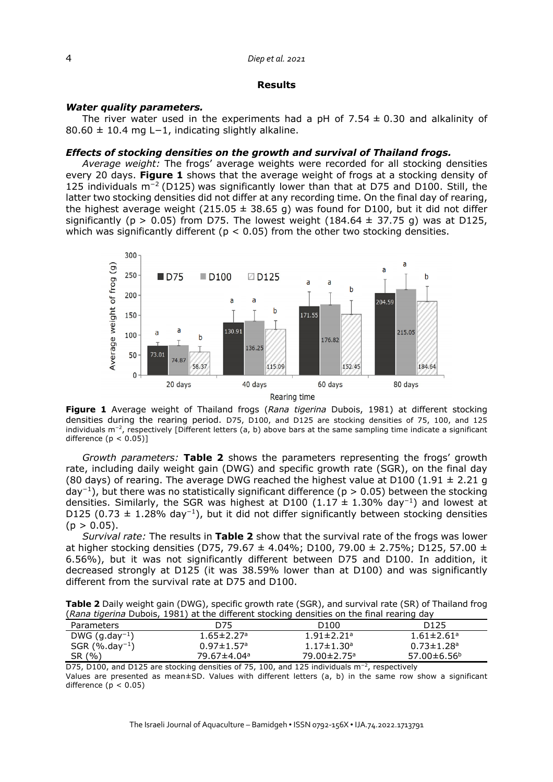## 4 *Diep et al. 2021*

## **Results**

## *Water quality parameters.*

The river water used in the experiments had a pH of 7.54  $\pm$  0.30 and alkalinity of 80.60 ± 10.4 mg L−1, indicating slightly alkaline.

#### *Effects of stocking densities on the growth and survival of Thailand frogs.*

*Average weight:* The frogs' average weights were recorded for all stocking densities every 20 days. **Figure 1** shows that the average weight of frogs at a stocking density of 125 individuals m<sup>−</sup>2 (D125) was significantly lower than that at D75 and D100. Still, the latter two stocking densities did not differ at any recording time. On the final day of rearing, the highest average weight (215.05  $\pm$  38.65 g) was found for D100, but it did not differ significantly ( $p > 0.05$ ) from D75. The lowest weight (184.64  $\pm$  37.75 g) was at D125. which was significantly different ( $p < 0.05$ ) from the other two stocking densities.



**Figure 1** Average weight of Thailand frogs (*Rana tigerina* Dubois, 1981) at different stocking densities during the rearing period. D75, D100, and D125 are stocking densities of 75, 100, and 125 individuals m<sup>−</sup>2, respectively [Different letters (a, b) above bars at the same sampling time indicate a significant difference  $(p < 0.05)$ ]

*Growth parameters:* **Table 2** shows the parameters representing the frogs' growth rate, including daily weight gain (DWG) and specific growth rate (SGR), on the final day (80 days) of rearing. The average DWG reached the highest value at D100 (1.91  $\pm$  2.21 g day<sup>−</sup>1), but there was no statistically significant difference (p > 0.05) between the stocking densities. Similarly, the SGR was highest at D100 (1.17  $\pm$  1.30% day<sup>-1</sup>) and lowest at D125 (0.73  $\pm$  1.28% day<sup>-1</sup>), but it did not differ significantly between stocking densities  $(p > 0.05)$ .

*Survival rate:* The results in **Table 2** show that the survival rate of the frogs was lower at higher stocking densities (D75, 79.67 ± 4.04%; D100, 79.00 ± 2.75%; D125, 57.00 ± 6.56%), but it was not significantly different between D75 and D100. In addition, it decreased strongly at D125 (it was 38.59% lower than at D100) and was significantly different from the survival rate at D75 and D100.

**Table 2** Daily weight gain (DWG), specific growth rate (SGR), and survival rate (SR) of Thailand frog (*Rana tigerina* Dubois, 1981) at the different stocking densities on the final rearing day

| <b>Parameters</b>            | D75                          | D100                         | D <sub>125</sub>             |
|------------------------------|------------------------------|------------------------------|------------------------------|
| $DWG$ (g.day <sup>-1</sup> ) | $1.65 \pm 2.27$ <sup>a</sup> | $1.91 \pm 2.21$ <sup>a</sup> | $1.61 \pm 2.61$ <sup>a</sup> |
| $SGR$ (%.day <sup>-1</sup> ) | $0.97 \pm 1.57$ <sup>a</sup> | $1.17 \pm 1.30$ <sup>a</sup> | $0.73 \pm 1.28$ <sup>a</sup> |
| SR (%)                       | 79.67±4.04ª                  | 79.00±2.75 <sup>a</sup>      | $57.00 \pm 6.56^b$           |
|                              |                              |                              |                              |

D75, D100, and D125 are stocking densities of 75, 100, and 125 individuals m<sup>-2</sup>, respectively Values are presented as mean±SD. Values with different letters (a, b) in the same row show a significant difference  $(p < 0.05)$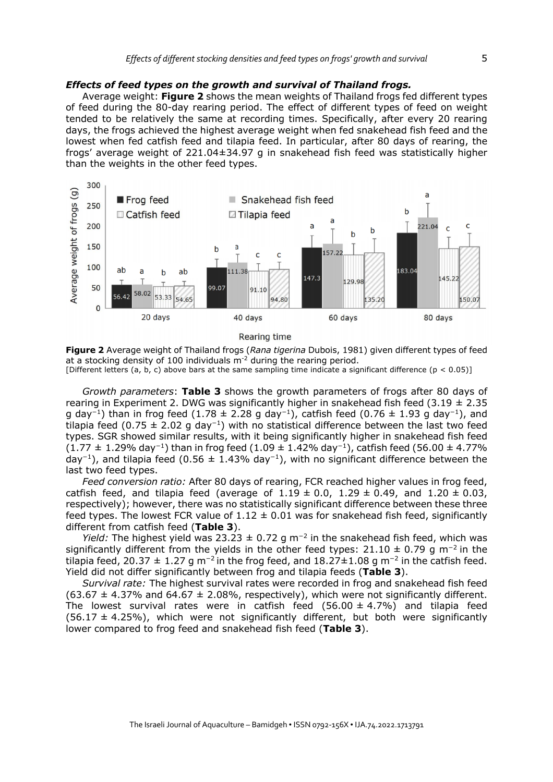## *Effects of feed types on the growth and survival of Thailand frogs.*

Average weight: **Figure 2** shows the mean weights of Thailand frogs fed different types of feed during the 80-day rearing period. The effect of different types of feed on weight tended to be relatively the same at recording times. Specifically, after every 20 rearing days, the frogs achieved the highest average weight when fed snakehead fish feed and the lowest when fed catfish feed and tilapia feed. In particular, after 80 days of rearing, the frogs' average weight of 221.04±34.97 g in snakehead fish feed was statistically higher than the weights in the other feed types.



Rearing time

**Figure 2** Average weight of Thailand frogs (*Rana tigerina* Dubois, 1981) given different types of feed at a stocking density of 100 individuals  $m<sup>2</sup>$  during the rearing period.

[Different letters (a, b, c) above bars at the same sampling time indicate a significant difference (p < 0.05)]

*Growth parameters*: **Table 3** shows the growth parameters of frogs after 80 days of rearing in Experiment 2. DWG was significantly higher in snakehead fish feed (3.19  $\pm$  2.35 q day<sup>-1</sup>) than in frog feed (1.78 ± 2.28 g day<sup>-1</sup>), catfish feed (0.76 ± 1.93 g day<sup>-1</sup>), and tilapia feed (0.75  $\pm$  2.02 g day<sup>-1</sup>) with no statistical difference between the last two feed types. SGR showed similar results, with it being significantly higher in snakehead fish feed (1.77  $\pm$  1.29% day<sup>-1</sup>) than in frog feed (1.09  $\pm$  1.42% day<sup>-1</sup>), catfish feed (56.00  $\pm$  4.77% day<sup>-1</sup>), and tilapia feed (0.56  $\pm$  1.43% day<sup>-1</sup>), with no significant difference between the last two feed types.

*Feed conversion ratio:* After 80 days of rearing, FCR reached higher values in frog feed, catfish feed, and tilapia feed (average of  $1.19 \pm 0.0$ ,  $1.29 \pm 0.49$ , and  $1.20 \pm 0.03$ , respectively); however, there was no statistically significant difference between these three feed types. The lowest FCR value of  $1.12 \pm 0.01$  was for snakehead fish feed, significantly different from catfish feed (**Table 3**).

*Yield:* The highest yield was 23.23  $\pm$  0.72 g m<sup>-2</sup> in the snakehead fish feed, which was significantly different from the yields in the other feed types:  $21.10 \pm 0.79$  g m<sup>-2</sup> in the tilapia feed, 20.37  $\pm$  1.27 g m<sup>-2</sup> in the frog feed, and 18.27 $\pm$ 1.08 g m<sup>-2</sup> in the catfish feed. Yield did not differ significantly between frog and tilapia feeds (**Table 3**).

*Survival rate:* The highest survival rates were recorded in frog and snakehead fish feed  $(63.67 \pm 4.37\%)$  and  $64.67 \pm 2.08\%$ , respectively), which were not significantly different. The lowest survival rates were in catfish feed  $(56.00 \pm 4.7\%)$  and tilapia feed  $(56.17 \pm 4.25\%)$ , which were not significantly different, but both were significantly lower compared to frog feed and snakehead fish feed (**Table 3**).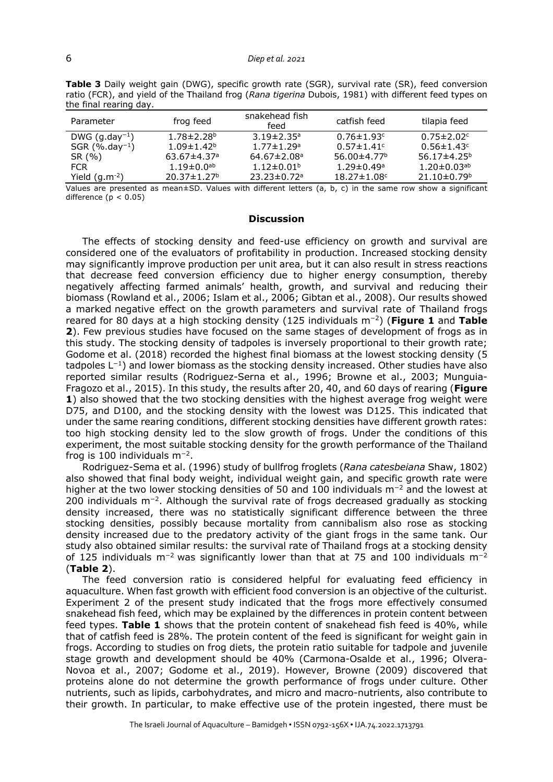| che mighted mightig          |                               |                               |                               |                              |
|------------------------------|-------------------------------|-------------------------------|-------------------------------|------------------------------|
| Parameter                    | frog feed                     | snakehead fish<br>feed        | catfish feed                  | tilapia feed                 |
| DWG $(g.day^{-1})$           | $1.78 \pm 2.28$ <sup>b</sup>  | $3.19 \pm 2.35$ <sup>a</sup>  | $0.76 \pm 1.93$ <sup>c</sup>  | $0.75 \pm 2.02$ <sup>c</sup> |
| $SGR$ (%.day <sup>-1</sup> ) | $1.09 \pm 1.42$ <sup>b</sup>  | $1.77 \pm 1.29$ <sup>a</sup>  | $0.57 \pm 1.41$ <sup>c</sup>  | $0.56 \pm 1.43$ <sup>c</sup> |
| SR (%)                       | $63.67 \pm 4.37$ <sup>a</sup> | $64.67 \pm 2.08$ <sup>a</sup> | 56.00 $\pm$ 4.77 <sup>b</sup> | $56.17 \pm 4.25^b$           |
| <b>FCR</b>                   | $1.19 \pm 0.0$ <sup>ab</sup>  | $1.12 \pm 0.01$ <sup>b</sup>  | $1.29 \pm 0.49$ <sup>a</sup>  | $1.20\pm0.03$ <sup>ab</sup>  |
| Yield $(q.m^{-2})$           | $20.37 \pm 1.27$ <sup>b</sup> | $23.23 \pm 0.72$ <sup>a</sup> | $18.27 \pm 1.08$ c            | $21.10 \pm 0.79^b$           |

**Table 3** Daily weight gain (DWG), specific growth rate (SGR), survival rate (SR), feed conversion ratio (FCR), and yield of the Thailand frog (*Rana tigerina* Dubois, 1981) with different feed types on the final rearing day.

Values are presented as mean±SD. Values with different letters (a, b, c) in the same row show a significant difference  $(p < 0.05)$ 

#### **Discussion**

The effects of stocking density and feed-use efficiency on growth and survival are considered one of the evaluators of profitability in production. Increased stocking density may significantly improve production per unit area, but it can also result in stress reactions that decrease feed conversion efficiency due to higher energy consumption, thereby negatively affecting farmed animals' health, growth, and survival and reducing their biomass (Rowland et al., 2006; Islam et al., 2006; Gibtan et al., 2008). Our results showed a marked negative effect on the growth parameters and survival rate of Thailand frogs reared for 80 days at a high stocking density (125 individuals m<sup>−</sup>2) (**Figure 1** and **Table 2**). Few previous studies have focused on the same stages of development of frogs as in this study. The stocking density of tadpoles is inversely proportional to their growth rate; Godome et al. (2018) recorded the highest final biomass at the lowest stocking density (5 tadpoles  $L^{-1}$ ) and lower biomass as the stocking density increased. Other studies have also reported similar results (Rodriguez-Serna et al., 1996; Browne et al., 2003; Munguia-Fragozo et al., 2015). In this study, the results after 20, 40, and 60 days of rearing (**Figure 1**) also showed that the two stocking densities with the highest average frog weight were D75, and D100, and the stocking density with the lowest was D125. This indicated that under the same rearing conditions, different stocking densities have different growth rates: too high stocking density led to the slow growth of frogs. Under the conditions of this experiment, the most suitable stocking density for the growth performance of the Thailand frog is 100 individuals m<sup>−</sup>2.

Rodriguez-Sema et al. (1996) study of bullfrog froglets (*Rana catesbeiana* Shaw, 1802) also showed that final body weight, individual weight gain, and specific growth rate were higher at the two lower stocking densities of 50 and 100 individuals m<sup>-2</sup> and the lowest at 200 individuals m<sup>-2</sup>. Although the survival rate of frogs decreased gradually as stocking density increased, there was no statistically significant difference between the three stocking densities, possibly because mortality from cannibalism also rose as stocking density increased due to the predatory activity of the giant frogs in the same tank. Our study also obtained similar results: the survival rate of Thailand frogs at a stocking density of 125 individuals m<sup>-2</sup> was significantly lower than that at 75 and 100 individuals m<sup>-2</sup> (**Table 2**).

The feed conversion ratio is considered helpful for evaluating feed efficiency in aquaculture. When fast growth with efficient food conversion is an objective of the culturist. Experiment 2 of the present study indicated that the frogs more effectively consumed snakehead fish feed, which may be explained by the differences in protein content between feed types. **Table 1** shows that the protein content of snakehead fish feed is 40%, while that of catfish feed is 28%. The protein content of the feed is significant for weight gain in frogs. According to studies on frog diets, the protein ratio suitable for tadpole and juvenile stage growth and development should be 40% (Carmona-Osalde et al., 1996; Olvera-Novoa et al., 2007; Godome et al., 2019). However, Browne (2009) discovered that proteins alone do not determine the growth performance of frogs under culture. Other nutrients, such as lipids, carbohydrates, and micro and macro-nutrients, also contribute to their growth. In particular, to make effective use of the protein ingested, there must be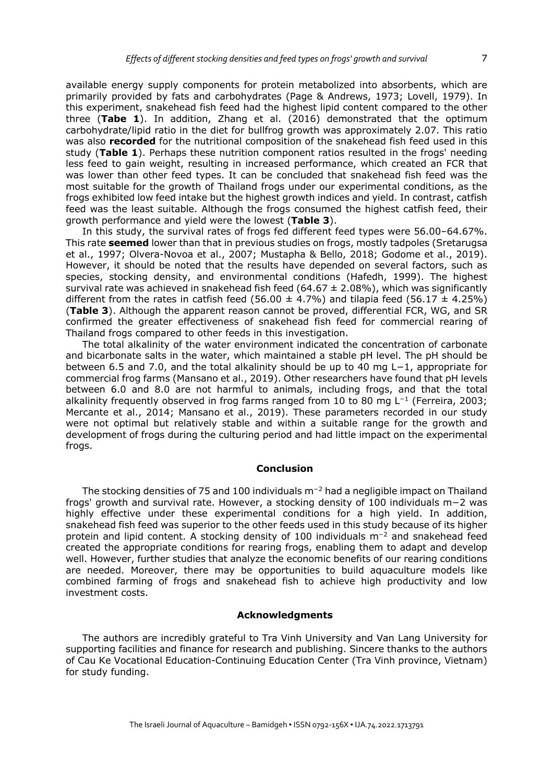available energy supply components for protein metabolized into absorbents, which are primarily provided by fats and carbohydrates (Page & Andrews, 1973; Lovell, 1979). In this experiment, snakehead fish feed had the highest lipid content compared to the other three (**Tabe 1**). In addition, Zhang et al. (2016) demonstrated that the optimum carbohydrate/lipid ratio in the diet for bullfrog growth was approximately 2.07. This ratio was also **recorded** for the nutritional composition of the snakehead fish feed used in this study (**Table 1**). Perhaps these nutrition component ratios resulted in the frogs' needing less feed to gain weight, resulting in increased performance, which created an FCR that was lower than other feed types. It can be concluded that snakehead fish feed was the most suitable for the growth of Thailand frogs under our experimental conditions, as the frogs exhibited low feed intake but the highest growth indices and yield. In contrast, catfish feed was the least suitable. Although the frogs consumed the highest catfish feed, their growth performance and yield were the lowest (**Table 3**).

In this study, the survival rates of frogs fed different feed types were 56.00-64.67%. This rate **seemed** lower than that in previous studies on frogs, mostly tadpoles (Sretarugsa et al., 1997; Olvera-Novoa et al., 2007; Mustapha & Bello, 2018; Godome et al., 2019). However, it should be noted that the results have depended on several factors, such as species, stocking density, and environmental conditions (Hafedh, 1999). The highest survival rate was achieved in snakehead fish feed (64.67  $\pm$  2.08%), which was significantly different from the rates in catfish feed (56.00  $\pm$  4.7%) and tilapia feed (56.17  $\pm$  4.25%) (**Table 3**). Although the apparent reason cannot be proved, differential FCR, WG, and SR confirmed the greater effectiveness of snakehead fish feed for commercial rearing of Thailand frogs compared to other feeds in this investigation.

The total alkalinity of the water environment indicated the concentration of carbonate and bicarbonate salts in the water, which maintained a stable pH level. The pH should be between 6.5 and 7.0, and the total alkalinity should be up to 40 mg L−1, appropriate for commercial frog farms (Mansano et al., 2019). Other researchers have found that pH levels between 6.0 and 8.0 are not harmful to animals, including frogs, and that the total alkalinity frequently observed in frog farms ranged from 10 to 80 mg L<sup>−</sup><sup>1</sup> (Ferreira, 2003; Mercante et al., 2014; Mansano et al., 2019). These parameters recorded in our study were not optimal but relatively stable and within a suitable range for the growth and development of frogs during the culturing period and had little impact on the experimental frogs.

#### **Conclusion**

The stocking densities of 75 and 100 individuals m<sup>−</sup><sup>2</sup> had a negligible impact on Thailand frogs' growth and survival rate. However, a stocking density of 100 individuals m−2 was highly effective under these experimental conditions for a high yield. In addition, snakehead fish feed was superior to the other feeds used in this study because of its higher protein and lipid content. A stocking density of 100 individuals m<sup>-2</sup> and snakehead feed created the appropriate conditions for rearing frogs, enabling them to adapt and develop well. However, further studies that analyze the economic benefits of our rearing conditions are needed. Moreover, there may be opportunities to build aquaculture models like combined farming of frogs and snakehead fish to achieve high productivity and low investment costs.

## **Acknowledgments**

The authors are incredibly grateful to Tra Vinh University and Van Lang University for supporting facilities and finance for research and publishing. Sincere thanks to the authors of Cau Ke Vocational Education-Continuing Education Center (Tra Vinh province, Vietnam) for study funding.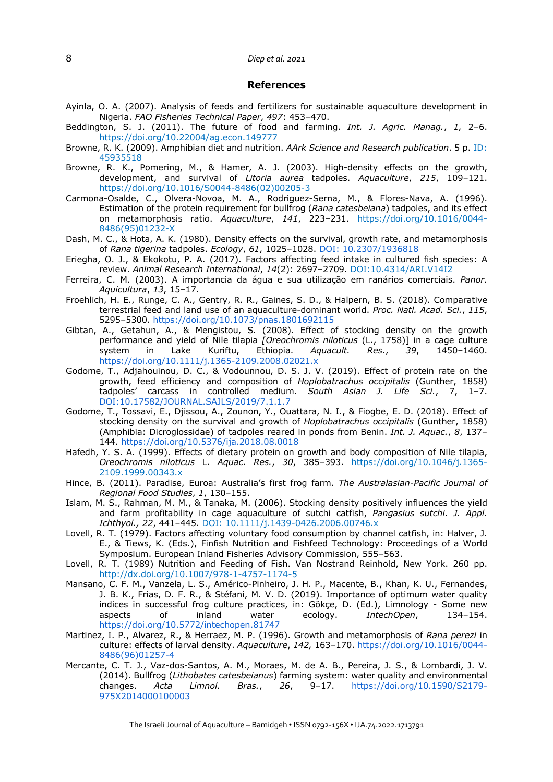## 8 *Diep et al. 2021*

#### **References**

- Ayinla, O. A. (2007). Analysis of feeds and fertilizers for sustainable aquaculture development in Nigeria. *FAO Fisheries Technical Paper*, *497*: 453–470.
- Beddington, S. J. (2011). The future of food and farming. *Int. J. Agric. Manag.*, *1,* 2–6. https://doi.org/10.22004/ag.econ.149777
- Browne, R. K. (2009). Amphibian diet and nutrition. *AArk Science and Research publication*. 5 p. ID: 45935518
- Browne, R. K., Pomering, M., & Hamer, A. J. (2003). High-density effects on the growth, development, and survival of *Litoria aurea* tadpoles. *Aquaculture*, *215*, 109–121. https://doi.org/10.1016/S0044-8486(02)00205-3
- Carmona-Osalde, C., Olvera-Novoa, M. A., Rodriguez-Serna, M., & Flores-Nava, A. (1996). Estimation of the protein requirement for bullfrog (*Rana catesbeiana*) tadpoles, and its effect on metamorphosis ratio. *Aquaculture*, *141*, 223–231. https://doi.org/10.1016/0044- 8486(95)01232-X
- Dash, M. C., & Hota, A. K. (1980). Density effects on the survival, growth rate, and metamorphosis of *Rana tigerina* tadpoles. *Ecology*, *61*, 1025–1028. DOI: 10.2307/1936818
- Eriegha, O. J., & Ekokotu, P. A. (2017). Factors affecting feed intake in cultured fish species: A review. *Animal Research International*, *14*(2): 2697–2709. DOI:10.4314/ARI.V14I2
- Ferreira, C. M. (2003). A importancia da água e sua utilização em ranários comerciais. *Panor. Aquicultura*, *13*, 15–17.
- Froehlich, H. E., Runge, C. A., Gentry, R. R., Gaines, S. D., & Halpern, B. S. (2018). Comparative terrestrial feed and land use of an aquaculture-dominant world. *Proc. Natl. Acad. Sci.*, *115*, 5295–5300. https://doi.org/10.1073/pnas.1801692115
- Gibtan, A., Getahun, A., & Mengistou, S. (2008). Effect of stocking density on the growth performance and yield of Nile tilapia *[Oreochromis niloticus* (L., 1758)] in a cage culture system in Lake Kuriftu, Ethiopia. *Aquacult. Res*., *39*, 1450–1460. https://doi.org/10.1111/j.1365-2109.2008.02021.x
- Godome, T., Adjahouinou, D. C., & Vodounnou, D. S. J. V. (2019). Effect of protein rate on the growth, feed efficiency and composition of *Hoplobatrachus occipitalis* (Gunther, 1858) tadpoles' carcass in controlled medium. *South Asian J. Life Sci.*, 7, 1–7. DOI:10.17582/JOURNAL.SAJLS/2019/7.1.1.7
- Godome, T., Tossavi, E., Djissou, A., Zounon, Y., Ouattara, N. I., & Fiogbe, E. D. (2018). Effect of stocking density on the survival and growth of *Hoplobatrachus occipitalis* (Gunther, 1858) (Amphibia: Dicroglossidae) of tadpoles reared in ponds from Benin. *Int. J. Aquac.*, *8*, 137– 144. https://doi.org/10.5376/ija.2018.08.0018
- Hafedh, Y. S. A. (1999). Effects of dietary protein on growth and body composition of Nile tilapia, *Oreochromis niloticus* L. *Aquac. Res.*, *30*, 385–393. https://doi.org/10.1046/j.1365- 2109.1999.00343.x
- Hince, B. (2011). Paradise, Euroa: Australia's first frog farm. *The Australasian-Pacific Journal of Regional Food Studies*, *1*, 130–155.
- Islam, M. S., Rahman, M. M., & Tanaka, M. (2006). Stocking density positively influences the yield and farm profitability in cage aquaculture of sutchi catfish, *Pangasius sutchi*. *J. Appl. Ichthyol., 22*, 441–445. DOI: 10.1111/j.1439-0426.2006.00746.x
- Lovell, R. T. (1979). Factors affecting voluntary food consumption by channel catfish, in: Halver, J. E., & Tiews, K. (Eds.), Finfish Nutrition and Fishfeed Technology: Proceedings of a World Symposium. European Inland Fisheries Advisory Commission, 555–563.
- Lovell, R. T. (1989) Nutrition and Feeding of Fish. Van Nostrand Reinhold, New York. 260 pp. http://dx.doi.org/10.1007/978-1-4757-1174-5
- Mansano, C. F. M., Vanzela, L. S., Américo-Pinheiro, J. H. P., Macente, B., Khan, K. U., Fernandes, J. B. K., Frias, D. F. R., & Stéfani, M. V. D. (2019). Importance of optimum water quality indices in successful frog culture practices, in: Gökçe, D. (Ed.), Limnology - Some new aspects of inland water ecology. *IntechOpen*, 134–154. https://doi.org/10.5772/intechopen.81747
- Martinez, I. P., Alvarez, R., & Herraez, M. P. (1996). Growth and metamorphosis of *Rana perezi* in culture: effects of larval density. *Aquaculture*, *142,* 163–170. https://doi.org/10.1016/0044- 8486(96)01257-4
- Mercante, C. T. J., Vaz-dos-Santos, A. M., Moraes, M. de A. B., Pereira, J. S., & Lombardi, J. V. (2014). Bullfrog (*Lithobates catesbeianus*) farming system: water quality and environmental changes. *Acta Limnol. Bras.*, *26*, 9–17. https://doi.org/10.1590/S2179- 975X2014000100003

The Israeli Journal of Aquaculture – Bamidgeh • ISSN 0792-156X • IJA.74.2022.1713791